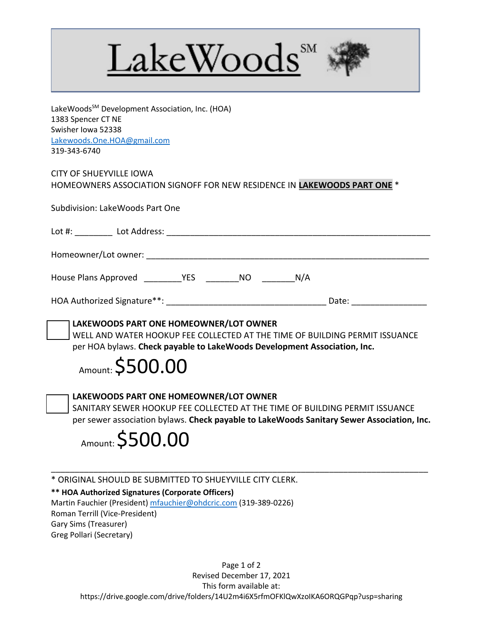



LakeWoods<sup>SM</sup> Development Association, Inc. (HOA) 1383 Spencer CT NE Swisher Iowa 52338 Lakewoods.One.HOA@gmail.com 319-343-6740

CITY OF SHUEYVILLE IOWA HOMEOWNERS ASSOCIATION SIGNOFF FOR NEW RESIDENCE IN **LAKEWOODS PART ONE** \*

Subdivision: LakeWoods Part One

| Lot $#$ :            | Lot Address: |            |     |     |
|----------------------|--------------|------------|-----|-----|
| Homeowner/Lot owner: |              |            |     |     |
| House Plans Approved |              | <b>YES</b> | NO. | N/A |

|  | HOA Authorized Signature**: |  | Date |
|--|-----------------------------|--|------|
|--|-----------------------------|--|------|



 WELL AND WATER HOOKUP FEE COLLECTED AT THE TIME OF BUILDING PERMIT ISSUANCE per HOA bylaws. **Check payable to LakeWoods Development Association, Inc.**

## Amount: \$500.00



**LAKEWOODS PART ONE HOMEOWNER/LOT OWNER**

 SANITARY SEWER HOOKUP FEE COLLECTED AT THE TIME OF BUILDING PERMIT ISSUANCE per sewer association bylaws. **Check payable to LakeWoods Sanitary Sewer Association, Inc.** 

\_\_\_\_\_\_\_\_\_\_\_\_\_\_\_\_\_\_\_\_\_\_\_\_\_\_\_\_\_\_\_\_\_\_\_\_\_\_\_\_\_\_\_\_\_\_\_\_\_\_\_\_\_\_\_\_\_\_\_\_\_\_\_\_\_\_\_\_\_\_\_\_\_\_\_\_\_\_\_\_



\* ORIGINAL SHOULD BE SUBMITTED TO SHUEYVILLE CITY CLERK.

## **\*\* HOA Authorized Signatures (Corporate Officers)**

Martin Fauchier (President) mfauchier@ohdcric.com (319-389-0226)

Roman Terrill (Vice-President) Gary Sims (Treasurer)

Greg Pollari (Secretary)

Page 1 of 2 Revised December 17, 2021 This form available at: https://drive.google.com/drive/folders/14U2m4i6X5rfmOFKlQwXzoIKA6ORQGPqp?usp=sharing